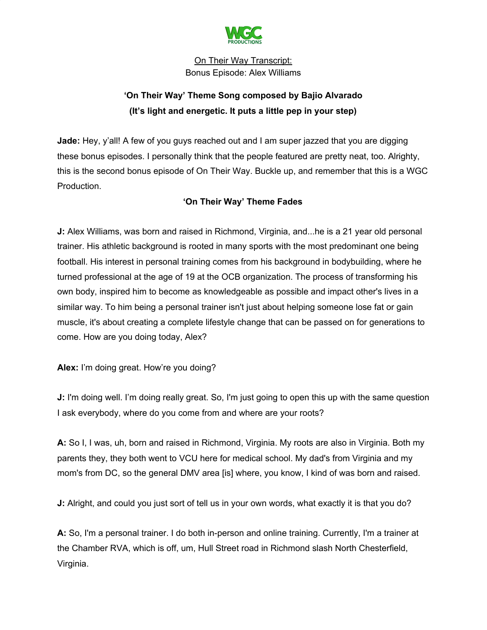

# **'On Their Way' Theme Song composed by Bajio Alvarado (It's light and energetic. It puts a little pep in your step)**

**Jade:** Hey, y'all! A few of you guys reached out and I am super jazzed that you are digging these bonus episodes. I personally think that the people featured are pretty neat, too. Alrighty, this is the second bonus episode of On Their Way. Buckle up, and remember that this is a WGC Production.

# **'On Their Way' Theme Fades**

**J:** Alex Williams, was born and raised in Richmond, Virginia, and...he is a 21 year old personal trainer. His athletic background is rooted in many sports with the most predominant one being football. His interest in personal training comes from his background in bodybuilding, where he turned professional at the age of 19 at the OCB organization. The process of transforming his own body, inspired him to become as knowledgeable as possible and impact other's lives in a similar way. To him being a personal trainer isn't just about helping someone lose fat or gain muscle, it's about creating a complete lifestyle change that can be passed on for generations to come. How are you doing today, Alex?

**Alex:** I'm doing great. How're you doing?

**J:** I'm doing well. I'm doing really great. So, I'm just going to open this up with the same question I ask everybody, where do you come from and where are your roots?

**A:** So I, I was, uh, born and raised in Richmond, Virginia. My roots are also in Virginia. Both my parents they, they both went to VCU here for medical school. My dad's from Virginia and my mom's from DC, so the general DMV area [is] where, you know, I kind of was born and raised.

**J:** Alright, and could you just sort of tell us in your own words, what exactly it is that you do?

**A:** So, I'm a personal trainer. I do both in-person and online training. Currently, I'm a trainer at the Chamber RVA, which is off, um, Hull Street road in Richmond slash North Chesterfield, Virginia.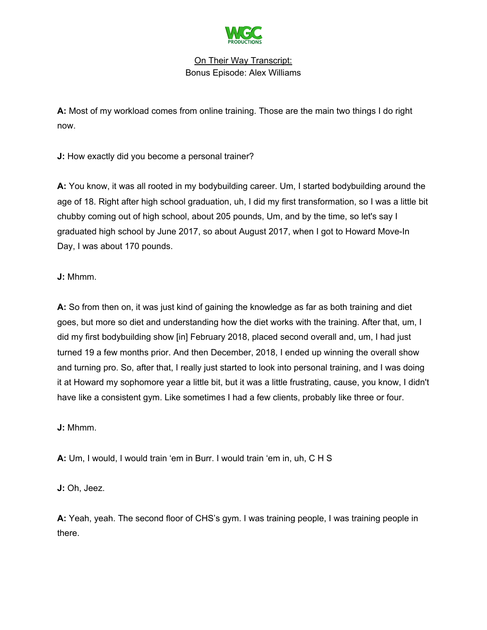

**A:** Most of my workload comes from online training. Those are the main two things I do right now.

**J:** How exactly did you become a personal trainer?

**A:** You know, it was all rooted in my bodybuilding career. Um, I started bodybuilding around the age of 18. Right after high school graduation, uh, I did my first transformation, so I was a little bit chubby coming out of high school, about 205 pounds, Um, and by the time, so let's say I graduated high school by June 2017, so about August 2017, when I got to Howard Move-In Day, I was about 170 pounds.

**J:** Mhmm.

**A:** So from then on, it was just kind of gaining the knowledge as far as both training and diet goes, but more so diet and understanding how the diet works with the training. After that, um, I did my first bodybuilding show [in] February 2018, placed second overall and, um, I had just turned 19 a few months prior. And then December, 2018, I ended up winning the overall show and turning pro. So, after that, I really just started to look into personal training, and I was doing it at Howard my sophomore year a little bit, but it was a little frustrating, cause, you know, I didn't have like a consistent gym. Like sometimes I had a few clients, probably like three or four.

**J:** Mhmm.

**A:** Um, I would, I would train 'em in Burr. I would train 'em in, uh, C H S

**J:** Oh, Jeez.

**A:** Yeah, yeah. The second floor of CHS's gym. I was training people, I was training people in there.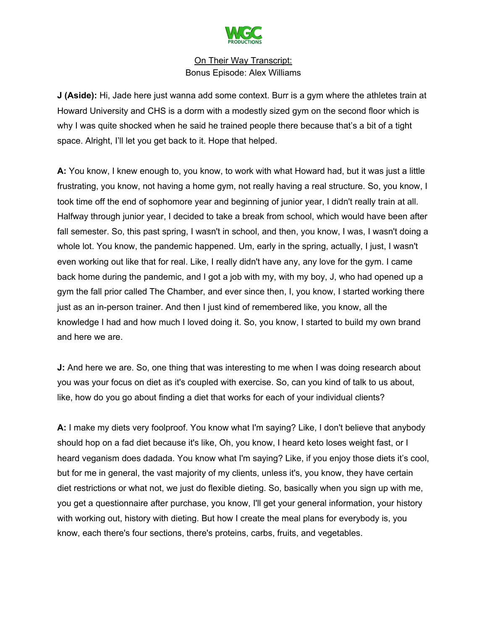

**J (Aside):** Hi, Jade here just wanna add some context. Burr is a gym where the athletes train at Howard University and CHS is a dorm with a modestly sized gym on the second floor which is why I was quite shocked when he said he trained people there because that's a bit of a tight space. Alright, I'll let you get back to it. Hope that helped.

**A:** You know, I knew enough to, you know, to work with what Howard had, but it was just a little frustrating, you know, not having a home gym, not really having a real structure. So, you know, I took time off the end of sophomore year and beginning of junior year, I didn't really train at all. Halfway through junior year, I decided to take a break from school, which would have been after fall semester. So, this past spring, I wasn't in school, and then, you know, I was, I wasn't doing a whole lot. You know, the pandemic happened. Um, early in the spring, actually, I just, I wasn't even working out like that for real. Like, I really didn't have any, any love for the gym. I came back home during the pandemic, and I got a job with my, with my boy, J, who had opened up a gym the fall prior called The Chamber, and ever since then, I, you know, I started working there just as an in-person trainer. And then I just kind of remembered like, you know, all the knowledge I had and how much I loved doing it. So, you know, I started to build my own brand and here we are.

**J:** And here we are. So, one thing that was interesting to me when I was doing research about you was your focus on diet as it's coupled with exercise. So, can you kind of talk to us about, like, how do you go about finding a diet that works for each of your individual clients?

**A:** I make my diets very foolproof. You know what I'm saying? Like, I don't believe that anybody should hop on a fad diet because it's like, Oh, you know, I heard keto loses weight fast, or I heard veganism does dadada. You know what I'm saying? Like, if you enjoy those diets it's cool, but for me in general, the vast majority of my clients, unless it's, you know, they have certain diet restrictions or what not, we just do flexible dieting. So, basically when you sign up with me, you get a questionnaire after purchase, you know, I'll get your general information, your history with working out, history with dieting. But how I create the meal plans for everybody is, you know, each there's four sections, there's proteins, carbs, fruits, and vegetables.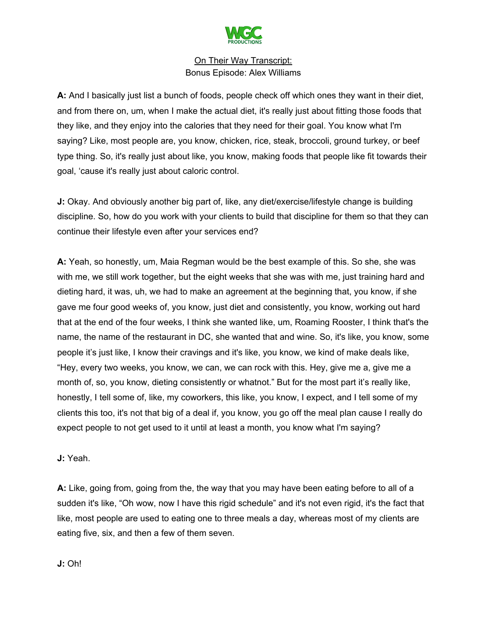

**A:** And I basically just list a bunch of foods, people check off which ones they want in their diet, and from there on, um, when I make the actual diet, it's really just about fitting those foods that they like, and they enjoy into the calories that they need for their goal. You know what I'm saying? Like, most people are, you know, chicken, rice, steak, broccoli, ground turkey, or beef type thing. So, it's really just about like, you know, making foods that people like fit towards their goal, 'cause it's really just about caloric control.

**J:** Okay. And obviously another big part of, like, any diet/exercise/lifestyle change is building discipline. So, how do you work with your clients to build that discipline for them so that they can continue their lifestyle even after your services end?

**A:** Yeah, so honestly, um, Maia Regman would be the best example of this. So she, she was with me, we still work together, but the eight weeks that she was with me, just training hard and dieting hard, it was, uh, we had to make an agreement at the beginning that, you know, if she gave me four good weeks of, you know, just diet and consistently, you know, working out hard that at the end of the four weeks, I think she wanted like, um, Roaming Rooster, I think that's the name, the name of the restaurant in DC, she wanted that and wine. So, it's like, you know, some people it's just like, I know their cravings and it's like, you know, we kind of make deals like, "Hey, every two weeks, you know, we can, we can rock with this. Hey, give me a, give me a month of, so, you know, dieting consistently or whatnot." But for the most part it's really like, honestly, I tell some of, like, my coworkers, this like, you know, I expect, and I tell some of my clients this too, it's not that big of a deal if, you know, you go off the meal plan cause I really do expect people to not get used to it until at least a month, you know what I'm saying?

#### **J:** Yeah.

**A:** Like, going from, going from the, the way that you may have been eating before to all of a sudden it's like, "Oh wow, now I have this rigid schedule" and it's not even rigid, it's the fact that like, most people are used to eating one to three meals a day, whereas most of my clients are eating five, six, and then a few of them seven.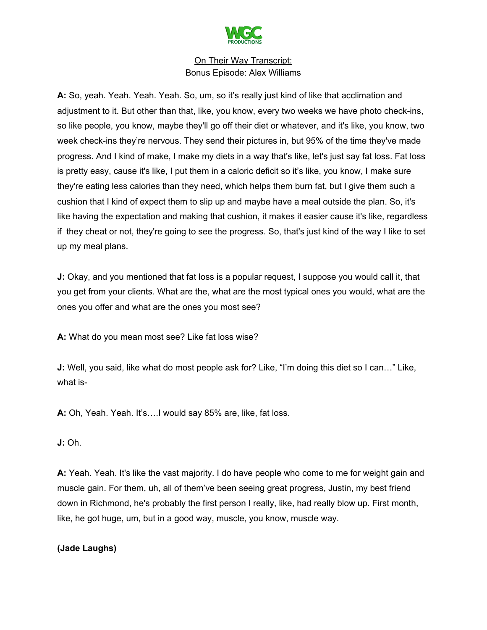

**A:** So, yeah. Yeah. Yeah. Yeah. So, um, so it's really just kind of like that acclimation and adjustment to it. But other than that, like, you know, every two weeks we have photo check-ins, so like people, you know, maybe they'll go off their diet or whatever, and it's like, you know, two week check-ins they're nervous. They send their pictures in, but 95% of the time they've made progress. And I kind of make, I make my diets in a way that's like, let's just say fat loss. Fat loss is pretty easy, cause it's like, I put them in a caloric deficit so it's like, you know, I make sure they're eating less calories than they need, which helps them burn fat, but I give them such a cushion that I kind of expect them to slip up and maybe have a meal outside the plan. So, it's like having the expectation and making that cushion, it makes it easier cause it's like, regardless if they cheat or not, they're going to see the progress. So, that's just kind of the way I like to set up my meal plans.

**J:** Okay, and you mentioned that fat loss is a popular request, I suppose you would call it, that you get from your clients. What are the, what are the most typical ones you would, what are the ones you offer and what are the ones you most see?

**A:** What do you mean most see? Like fat loss wise?

**J:** Well, you said, like what do most people ask for? Like, "I'm doing this diet so I can…" Like, what is-

**A:** Oh, Yeah. Yeah. It's….I would say 85% are, like, fat loss.

# **J:** Oh.

**A:** Yeah. Yeah. It's like the vast majority. I do have people who come to me for weight gain and muscle gain. For them, uh, all of them've been seeing great progress, Justin, my best friend down in Richmond, he's probably the first person I really, like, had really blow up. First month, like, he got huge, um, but in a good way, muscle, you know, muscle way.

# **(Jade Laughs)**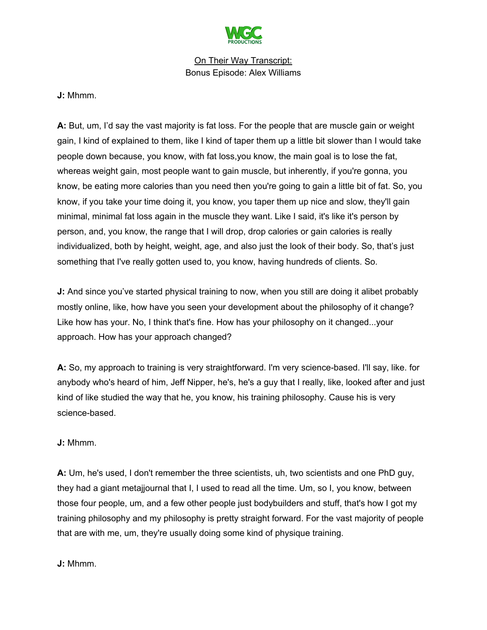

#### **J:** Mhmm.

**A:** But, um, I'd say the vast majority is fat loss. For the people that are muscle gain or weight gain, I kind of explained to them, like I kind of taper them up a little bit slower than I would take people down because, you know, with fat loss,you know, the main goal is to lose the fat, whereas weight gain, most people want to gain muscle, but inherently, if you're gonna, you know, be eating more calories than you need then you're going to gain a little bit of fat. So, you know, if you take your time doing it, you know, you taper them up nice and slow, they'll gain minimal, minimal fat loss again in the muscle they want. Like I said, it's like it's person by person, and, you know, the range that I will drop, drop calories or gain calories is really individualized, both by height, weight, age, and also just the look of their body. So, that's just something that I've really gotten used to, you know, having hundreds of clients. So.

**J:** And since you've started physical training to now, when you still are doing it alibet probably mostly online, like, how have you seen your development about the philosophy of it change? Like how has your. No, I think that's fine. How has your philosophy on it changed...your approach. How has your approach changed?

**A:** So, my approach to training is very straightforward. I'm very science-based. I'll say, like. for anybody who's heard of him, Jeff Nipper, he's, he's a guy that I really, like, looked after and just kind of like studied the way that he, you know, his training philosophy. Cause his is very science-based.

#### **J:** Mhmm.

**A:** Um, he's used, I don't remember the three scientists, uh, two scientists and one PhD guy, they had a giant metajjournal that I, I used to read all the time. Um, so I, you know, between those four people, um, and a few other people just bodybuilders and stuff, that's how I got my training philosophy and my philosophy is pretty straight forward. For the vast majority of people that are with me, um, they're usually doing some kind of physique training.

#### **J:** Mhmm.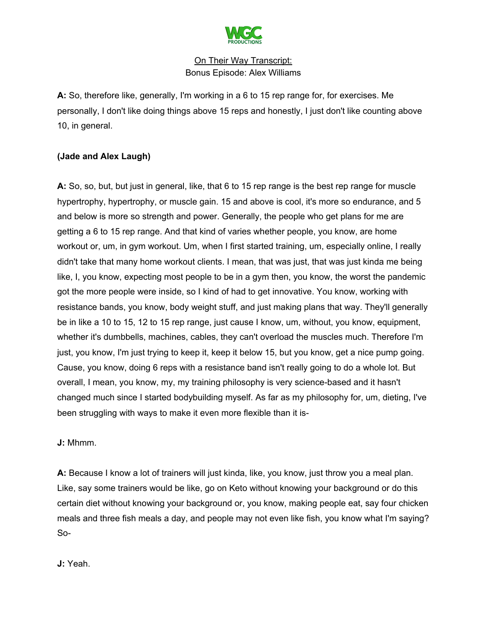

**A:** So, therefore like, generally, I'm working in a 6 to 15 rep range for, for exercises. Me personally, I don't like doing things above 15 reps and honestly, I just don't like counting above 10, in general.

# **(Jade and Alex Laugh)**

**A:** So, so, but, but just in general, like, that 6 to 15 rep range is the best rep range for muscle hypertrophy, hypertrophy, or muscle gain. 15 and above is cool, it's more so endurance, and 5 and below is more so strength and power. Generally, the people who get plans for me are getting a 6 to 15 rep range. And that kind of varies whether people, you know, are home workout or, um, in gym workout. Um, when I first started training, um, especially online, I really didn't take that many home workout clients. I mean, that was just, that was just kinda me being like, I, you know, expecting most people to be in a gym then, you know, the worst the pandemic got the more people were inside, so I kind of had to get innovative. You know, working with resistance bands, you know, body weight stuff, and just making plans that way. They'll generally be in like a 10 to 15, 12 to 15 rep range, just cause I know, um, without, you know, equipment, whether it's dumbbells, machines, cables, they can't overload the muscles much. Therefore I'm just, you know, I'm just trying to keep it, keep it below 15, but you know, get a nice pump going. Cause, you know, doing 6 reps with a resistance band isn't really going to do a whole lot. But overall, I mean, you know, my, my training philosophy is very science-based and it hasn't changed much since I started bodybuilding myself. As far as my philosophy for, um, dieting, I've been struggling with ways to make it even more flexible than it is-

**J:** Mhmm.

**A:** Because I know a lot of trainers will just kinda, like, you know, just throw you a meal plan. Like, say some trainers would be like, go on Keto without knowing your background or do this certain diet without knowing your background or, you know, making people eat, say four chicken meals and three fish meals a day, and people may not even like fish, you know what I'm saying? So-

**J:** Yeah.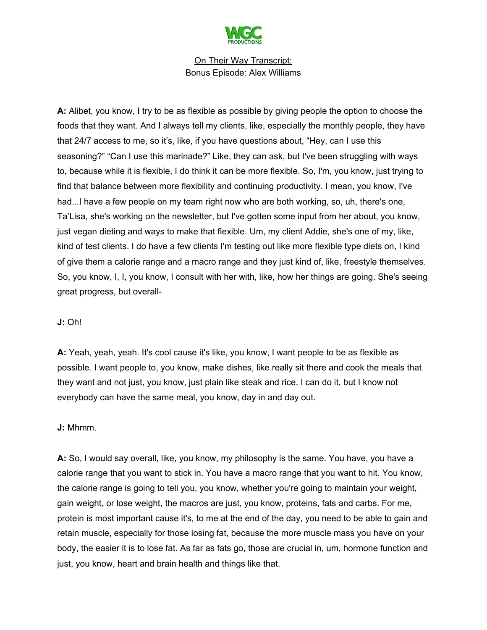

**A:** Alibet, you know, I try to be as flexible as possible by giving people the option to choose the foods that they want. And I always tell my clients, like, especially the monthly people, they have that 24/7 access to me, so it's, like, if you have questions about, "Hey, can I use this seasoning?" "Can I use this marinade?" Like, they can ask, but I've been struggling with ways to, because while it is flexible, I do think it can be more flexible. So, I'm, you know, just trying to find that balance between more flexibility and continuing productivity. I mean, you know, I've had...I have a few people on my team right now who are both working, so, uh, there's one, Ta'Lisa, she's working on the newsletter, but I've gotten some input from her about, you know, just vegan dieting and ways to make that flexible. Um, my client Addie, she's one of my, like, kind of test clients. I do have a few clients I'm testing out like more flexible type diets on, I kind of give them a calorie range and a macro range and they just kind of, like, freestyle themselves. So, you know, I, I, you know, I consult with her with, like, how her things are going. She's seeing great progress, but overall-

#### **J:** Oh!

**A:** Yeah, yeah, yeah. It's cool cause it's like, you know, I want people to be as flexible as possible. I want people to, you know, make dishes, like really sit there and cook the meals that they want and not just, you know, just plain like steak and rice. I can do it, but I know not everybody can have the same meal, you know, day in and day out.

#### **J:** Mhmm.

**A:** So, I would say overall, like, you know, my philosophy is the same. You have, you have a calorie range that you want to stick in. You have a macro range that you want to hit. You know, the calorie range is going to tell you, you know, whether you're going to maintain your weight, gain weight, or lose weight, the macros are just, you know, proteins, fats and carbs. For me, protein is most important cause it's, to me at the end of the day, you need to be able to gain and retain muscle, especially for those losing fat, because the more muscle mass you have on your body, the easier it is to lose fat. As far as fats go, those are crucial in, um, hormone function and just, you know, heart and brain health and things like that.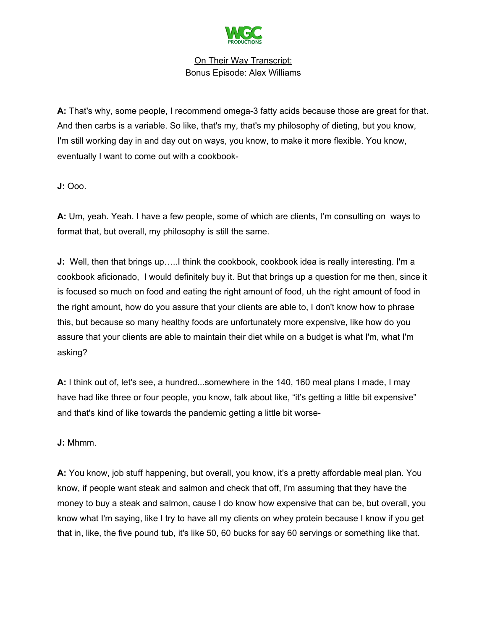

**A:** That's why, some people, I recommend omega-3 fatty acids because those are great for that. And then carbs is a variable. So like, that's my, that's my philosophy of dieting, but you know, I'm still working day in and day out on ways, you know, to make it more flexible. You know, eventually I want to come out with a cookbook-

**J:** Ooo.

**A:** Um, yeah. Yeah. I have a few people, some of which are clients, I'm consulting on ways to format that, but overall, my philosophy is still the same.

**J:** Well, then that brings up…..I think the cookbook, cookbook idea is really interesting. I'm a cookbook aficionado, I would definitely buy it. But that brings up a question for me then, since it is focused so much on food and eating the right amount of food, uh the right amount of food in the right amount, how do you assure that your clients are able to, I don't know how to phrase this, but because so many healthy foods are unfortunately more expensive, like how do you assure that your clients are able to maintain their diet while on a budget is what I'm, what I'm asking?

**A:** I think out of, let's see, a hundred...somewhere in the 140, 160 meal plans I made, I may have had like three or four people, you know, talk about like, "it's getting a little bit expensive" and that's kind of like towards the pandemic getting a little bit worse-

**J:** Mhmm.

**A:** You know, job stuff happening, but overall, you know, it's a pretty affordable meal plan. You know, if people want steak and salmon and check that off, I'm assuming that they have the money to buy a steak and salmon, cause I do know how expensive that can be, but overall, you know what I'm saying, like I try to have all my clients on whey protein because I know if you get that in, like, the five pound tub, it's like 50, 60 bucks for say 60 servings or something like that.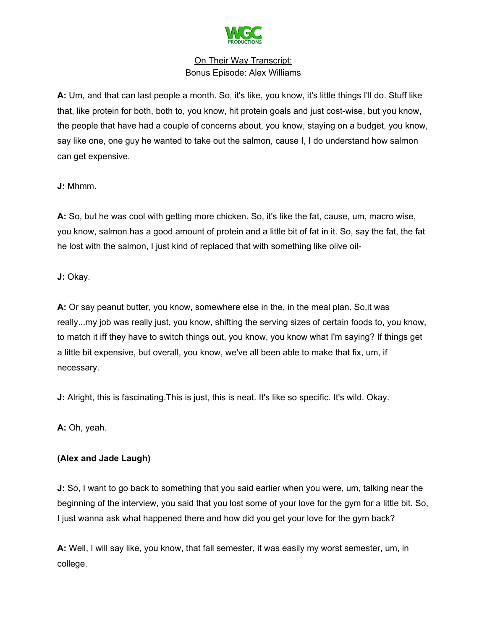

**A:** Um, and that can last people a month. So, it's like, you know, it's little things I'll do. Stuff like that, like protein for both, both to, you know, hit protein goals and just cost-wise, but you know, the people that have had a couple of concerns about, you know, staying on a budget, you know, say like one, one guy he wanted to take out the salmon, cause I, I do understand how salmon can get expensive.

**J:** Mhmm.

**A:** So, but he was cool with getting more chicken. So, it's like the fat, cause, um, macro wise, you know, salmon has a good amount of protein and a little bit of fat in it. So, say the fat, the fat he lost with the salmon, I just kind of replaced that with something like olive oil-

**J:** Okay.

**A:** Or say peanut butter, you know, somewhere else in the, in the meal plan. So,it was really...my job was really just, you know, shifting the serving sizes of certain foods to, you know, to match it iff they have to switch things out, you know, you know what I'm saying? If things get a little bit expensive, but overall, you know, we've all been able to make that fix, um, if necessary.

**J:** Alright, this is fascinating. This is just, this is neat. It's like so specific. It's wild. Okay.

**A:** Oh, yeah.

# **(Alex and Jade Laugh)**

**J:** So, I want to go back to something that you said earlier when you were, um, talking near the beginning of the interview, you said that you lost some of your love for the gym for a little bit. So, I just wanna ask what happened there and how did you get your love for the gym back?

**A:** Well, I will say like, you know, that fall semester, it was easily my worst semester, um, in college.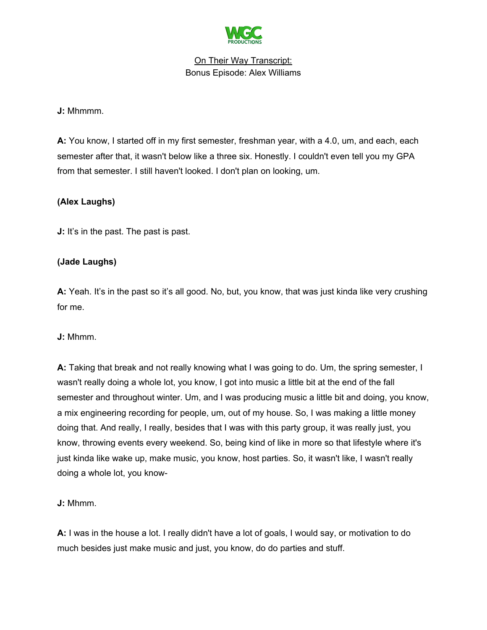

#### **J:** Mhmmm.

**A:** You know, I started off in my first semester, freshman year, with a 4.0, um, and each, each semester after that, it wasn't below like a three six. Honestly. I couldn't even tell you my GPA from that semester. I still haven't looked. I don't plan on looking, um.

## **(Alex Laughs)**

**J:** It's in the past. The past is past.

# **(Jade Laughs)**

**A:** Yeah. It's in the past so it's all good. No, but, you know, that was just kinda like very crushing for me.

**J:** Mhmm.

**A:** Taking that break and not really knowing what I was going to do. Um, the spring semester, I wasn't really doing a whole lot, you know, I got into music a little bit at the end of the fall semester and throughout winter. Um, and I was producing music a little bit and doing, you know, a mix engineering recording for people, um, out of my house. So, I was making a little money doing that. And really, I really, besides that I was with this party group, it was really just, you know, throwing events every weekend. So, being kind of like in more so that lifestyle where it's just kinda like wake up, make music, you know, host parties. So, it wasn't like, I wasn't really doing a whole lot, you know-

**J:** Mhmm.

**A:** I was in the house a lot. I really didn't have a lot of goals, I would say, or motivation to do much besides just make music and just, you know, do do parties and stuff.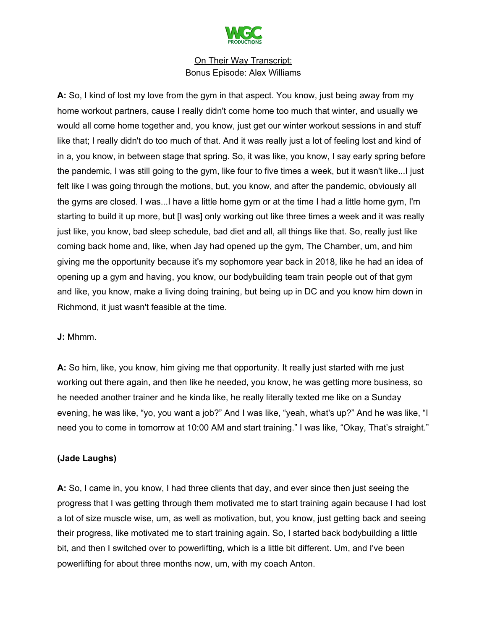

**A:** So, I kind of lost my love from the gym in that aspect. You know, just being away from my home workout partners, cause I really didn't come home too much that winter, and usually we would all come home together and, you know, just get our winter workout sessions in and stuff like that; I really didn't do too much of that. And it was really just a lot of feeling lost and kind of in a, you know, in between stage that spring. So, it was like, you know, I say early spring before the pandemic, I was still going to the gym, like four to five times a week, but it wasn't like...I just felt like I was going through the motions, but, you know, and after the pandemic, obviously all the gyms are closed. I was...I have a little home gym or at the time I had a little home gym, I'm starting to build it up more, but [I was] only working out like three times a week and it was really just like, you know, bad sleep schedule, bad diet and all, all things like that. So, really just like coming back home and, like, when Jay had opened up the gym, The Chamber, um, and him giving me the opportunity because it's my sophomore year back in 2018, like he had an idea of opening up a gym and having, you know, our bodybuilding team train people out of that gym and like, you know, make a living doing training, but being up in DC and you know him down in Richmond, it just wasn't feasible at the time.

#### **J:** Mhmm.

**A:** So him, like, you know, him giving me that opportunity. It really just started with me just working out there again, and then like he needed, you know, he was getting more business, so he needed another trainer and he kinda like, he really literally texted me like on a Sunday evening, he was like, "yo, you want a job?" And I was like, "yeah, what's up?" And he was like, "I need you to come in tomorrow at 10:00 AM and start training." I was like, "Okay, That's straight."

# **(Jade Laughs)**

**A:** So, I came in, you know, I had three clients that day, and ever since then just seeing the progress that I was getting through them motivated me to start training again because I had lost a lot of size muscle wise, um, as well as motivation, but, you know, just getting back and seeing their progress, like motivated me to start training again. So, I started back bodybuilding a little bit, and then I switched over to powerlifting, which is a little bit different. Um, and I've been powerlifting for about three months now, um, with my coach Anton.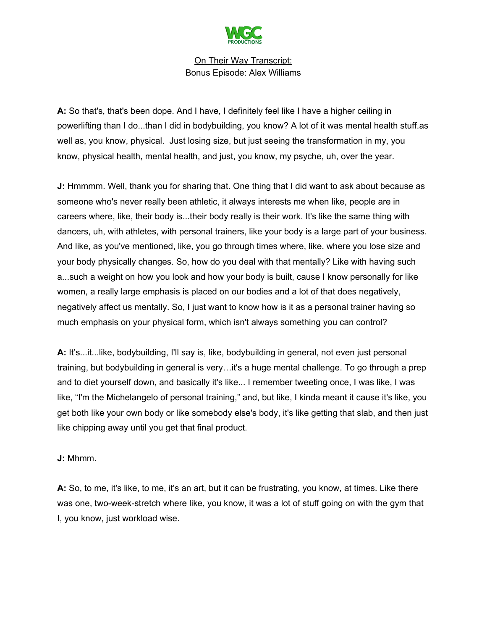

**A:** So that's, that's been dope. And I have, I definitely feel like I have a higher ceiling in powerlifting than I do...than I did in bodybuilding, you know? A lot of it was mental health stuff.as well as, you know, physical. Just losing size, but just seeing the transformation in my, you know, physical health, mental health, and just, you know, my psyche, uh, over the year.

**J:** Hmmmm. Well, thank you for sharing that. One thing that I did want to ask about because as someone who's never really been athletic, it always interests me when like, people are in careers where, like, their body is...their body really is their work. It's like the same thing with dancers, uh, with athletes, with personal trainers, like your body is a large part of your business. And like, as you've mentioned, like, you go through times where, like, where you lose size and your body physically changes. So, how do you deal with that mentally? Like with having such a...such a weight on how you look and how your body is built, cause I know personally for like women, a really large emphasis is placed on our bodies and a lot of that does negatively, negatively affect us mentally. So, I just want to know how is it as a personal trainer having so much emphasis on your physical form, which isn't always something you can control?

**A:** It's...it...like, bodybuilding, I'll say is, like, bodybuilding in general, not even just personal training, but bodybuilding in general is very…it's a huge mental challenge. To go through a prep and to diet yourself down, and basically it's like... I remember tweeting once, I was like, I was like, "I'm the Michelangelo of personal training," and, but like, I kinda meant it cause it's like, you get both like your own body or like somebody else's body, it's like getting that slab, and then just like chipping away until you get that final product.

#### **J:** Mhmm.

**A:** So, to me, it's like, to me, it's an art, but it can be frustrating, you know, at times. Like there was one, two-week-stretch where like, you know, it was a lot of stuff going on with the gym that I, you know, just workload wise.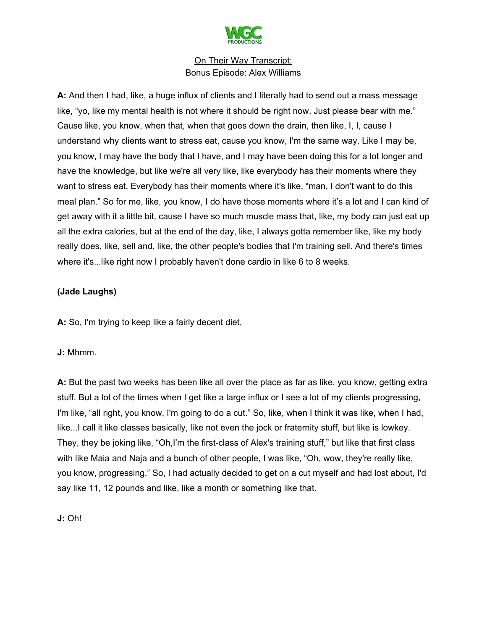

**A:** And then I had, like, a huge influx of clients and I literally had to send out a mass message like, "yo, like my mental health is not where it should be right now. Just please bear with me." Cause like, you know, when that, when that goes down the drain, then like, I, I, cause I understand why clients want to stress eat, cause you know, I'm the same way. Like I may be, you know, I may have the body that I have, and I may have been doing this for a lot longer and have the knowledge, but like we're all very like, like everybody has their moments where they want to stress eat. Everybody has their moments where it's like, "man, I don't want to do this meal plan." So for me, like, you know, I do have those moments where it's a lot and I can kind of get away with it a little bit, cause I have so much muscle mass that, like, my body can just eat up all the extra calories, but at the end of the day, like, I always gotta remember like, like my body really does, like, sell and, like, the other people's bodies that I'm training sell. And there's times where it's...like right now I probably haven't done cardio in like 6 to 8 weeks.

# **(Jade Laughs)**

**A:** So, I'm trying to keep like a fairly decent diet,

#### **J:** Mhmm.

**A:** But the past two weeks has been like all over the place as far as like, you know, getting extra stuff. But a lot of the times when I get like a large influx or I see a lot of my clients progressing, I'm like, "all right, you know, I'm going to do a cut." So, like, when I think it was like, when I had, like...I call it like classes basically, like not even the jock or fraternity stuff, but like is lowkey. They, they be joking like, "Oh,I'm the first-class of Alex's training stuff," but like that first class with like Maia and Naja and a bunch of other people, I was like, "Oh, wow, they're really like, you know, progressing." So, I had actually decided to get on a cut myself and had lost about, I'd say like 11, 12 pounds and like, like a month or something like that.

**J:** Oh!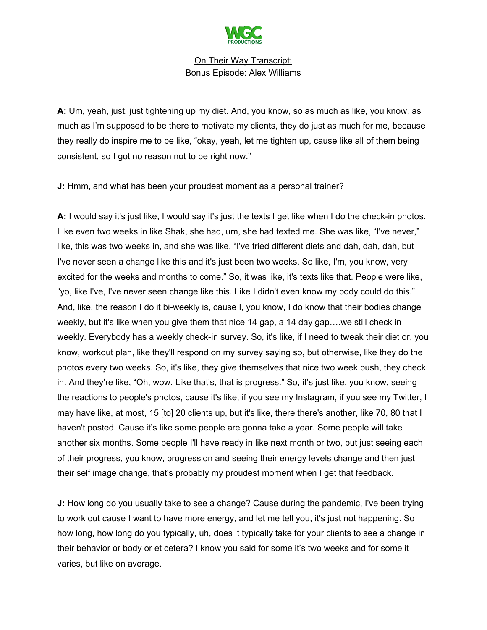

**A:** Um, yeah, just, just tightening up my diet. And, you know, so as much as like, you know, as much as I'm supposed to be there to motivate my clients, they do just as much for me, because they really do inspire me to be like, "okay, yeah, let me tighten up, cause like all of them being consistent, so I got no reason not to be right now."

**J:** Hmm, and what has been your proudest moment as a personal trainer?

**A:** I would say it's just like, I would say it's just the texts I get like when I do the check-in photos. Like even two weeks in like Shak, she had, um, she had texted me. She was like, "I've never," like, this was two weeks in, and she was like, "I've tried different diets and dah, dah, dah, but I've never seen a change like this and it's just been two weeks. So like, I'm, you know, very excited for the weeks and months to come." So, it was like, it's texts like that. People were like, "yo, like I've, I've never seen change like this. Like I didn't even know my body could do this." And, like, the reason I do it bi-weekly is, cause I, you know, I do know that their bodies change weekly, but it's like when you give them that nice 14 gap, a 14 day gap….we still check in weekly. Everybody has a weekly check-in survey. So, it's like, if I need to tweak their diet or, you know, workout plan, like they'll respond on my survey saying so, but otherwise, like they do the photos every two weeks. So, it's like, they give themselves that nice two week push, they check in. And they're like, "Oh, wow. Like that's, that is progress." So, it's just like, you know, seeing the reactions to people's photos, cause it's like, if you see my Instagram, if you see my Twitter, I may have like, at most, 15 [to] 20 clients up, but it's like, there there's another, like 70, 80 that I haven't posted. Cause it's like some people are gonna take a year. Some people will take another six months. Some people I'll have ready in like next month or two, but just seeing each of their progress, you know, progression and seeing their energy levels change and then just their self image change, that's probably my proudest moment when I get that feedback.

**J:** How long do you usually take to see a change? Cause during the pandemic, I've been trying to work out cause I want to have more energy, and let me tell you, it's just not happening. So how long, how long do you typically, uh, does it typically take for your clients to see a change in their behavior or body or et cetera? I know you said for some it's two weeks and for some it varies, but like on average.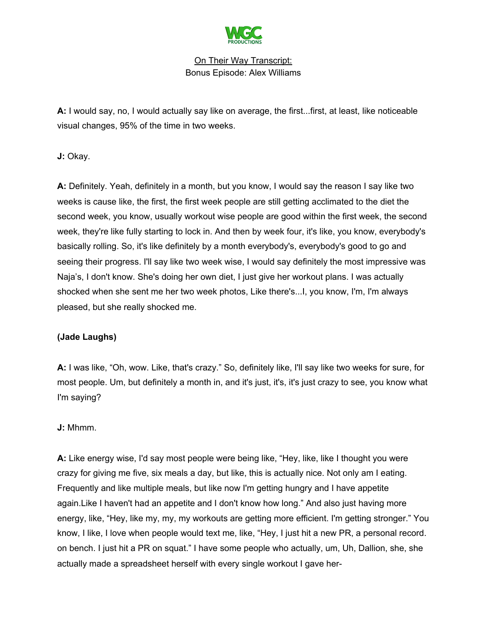

**A:** I would say, no, I would actually say like on average, the first...first, at least, like noticeable visual changes, 95% of the time in two weeks.

**J:** Okay.

**A:** Definitely. Yeah, definitely in a month, but you know, I would say the reason I say like two weeks is cause like, the first, the first week people are still getting acclimated to the diet the second week, you know, usually workout wise people are good within the first week, the second week, they're like fully starting to lock in. And then by week four, it's like, you know, everybody's basically rolling. So, it's like definitely by a month everybody's, everybody's good to go and seeing their progress. I'll say like two week wise, I would say definitely the most impressive was Naja's, I don't know. She's doing her own diet, I just give her workout plans. I was actually shocked when she sent me her two week photos, Like there's...I, you know, I'm, I'm always pleased, but she really shocked me.

# **(Jade Laughs)**

**A:** I was like, "Oh, wow. Like, that's crazy." So, definitely like, I'll say like two weeks for sure, for most people. Um, but definitely a month in, and it's just, it's, it's just crazy to see, you know what I'm saying?

**J:** Mhmm.

**A:** Like energy wise, I'd say most people were being like, "Hey, like, like I thought you were crazy for giving me five, six meals a day, but like, this is actually nice. Not only am I eating. Frequently and like multiple meals, but like now I'm getting hungry and I have appetite again.Like I haven't had an appetite and I don't know how long." And also just having more energy, like, "Hey, like my, my, my workouts are getting more efficient. I'm getting stronger." You know, I like, I love when people would text me, like, "Hey, I just hit a new PR, a personal record. on bench. I just hit a PR on squat." I have some people who actually, um, Uh, Dallion, she, she actually made a spreadsheet herself with every single workout I gave her-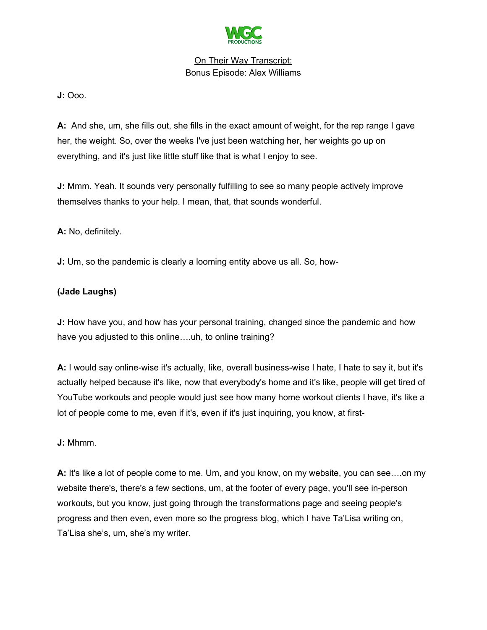

**J:** Ooo.

**A:** And she, um, she fills out, she fills in the exact amount of weight, for the rep range I gave her, the weight. So, over the weeks I've just been watching her, her weights go up on everything, and it's just like little stuff like that is what I enjoy to see.

**J:** Mmm. Yeah. It sounds very personally fulfilling to see so many people actively improve themselves thanks to your help. I mean, that, that sounds wonderful.

**A:** No, definitely.

**J:** Um, so the pandemic is clearly a looming entity above us all. So, how-

# **(Jade Laughs)**

**J:** How have you, and how has your personal training, changed since the pandemic and how have you adjusted to this online....uh, to online training?

**A:** I would say online-wise it's actually, like, overall business-wise I hate, I hate to say it, but it's actually helped because it's like, now that everybody's home and it's like, people will get tired of YouTube workouts and people would just see how many home workout clients I have, it's like a lot of people come to me, even if it's, even if it's just inquiring, you know, at first-

**J:** Mhmm.

**A:** It's like a lot of people come to me. Um, and you know, on my website, you can see….on my website there's, there's a few sections, um, at the footer of every page, you'll see in-person workouts, but you know, just going through the transformations page and seeing people's progress and then even, even more so the progress blog, which I have Ta'Lisa writing on, Ta'Lisa she's, um, she's my writer.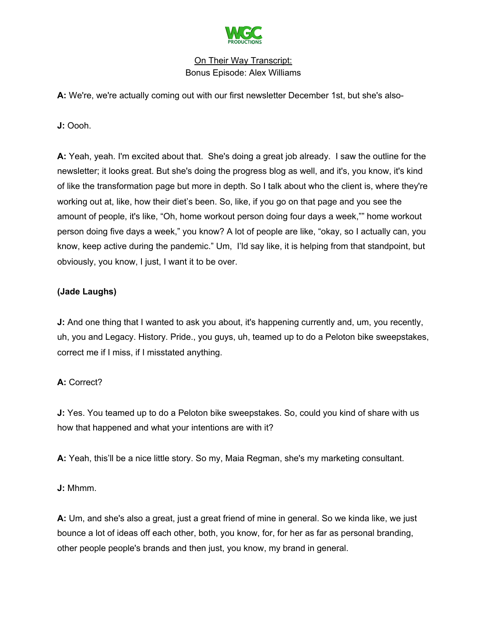

**A:** We're, we're actually coming out with our first newsletter December 1st, but she's also-

**J:** Oooh.

**A:** Yeah, yeah. I'm excited about that. She's doing a great job already. I saw the outline for the newsletter; it looks great. But she's doing the progress blog as well, and it's, you know, it's kind of like the transformation page but more in depth. So I talk about who the client is, where they're working out at, like, how their diet's been. So, like, if you go on that page and you see the amount of people, it's like, "Oh, home workout person doing four days a week,"" home workout person doing five days a week," you know? A lot of people are like, "okay, so I actually can, you know, keep active during the pandemic." Um, I'ld say like, it is helping from that standpoint, but obviously, you know, I just, I want it to be over.

# **(Jade Laughs)**

**J:** And one thing that I wanted to ask you about, it's happening currently and, um, you recently, uh, you and Legacy. History. Pride., you guys, uh, teamed up to do a Peloton bike sweepstakes, correct me if I miss, if I misstated anything.

# **A:** Correct?

**J:** Yes. You teamed up to do a Peloton bike sweepstakes. So, could you kind of share with us how that happened and what your intentions are with it?

**A:** Yeah, this'll be a nice little story. So my, Maia Regman, she's my marketing consultant.

**J:** Mhmm.

**A:** Um, and she's also a great, just a great friend of mine in general. So we kinda like, we just bounce a lot of ideas off each other, both, you know, for, for her as far as personal branding, other people people's brands and then just, you know, my brand in general.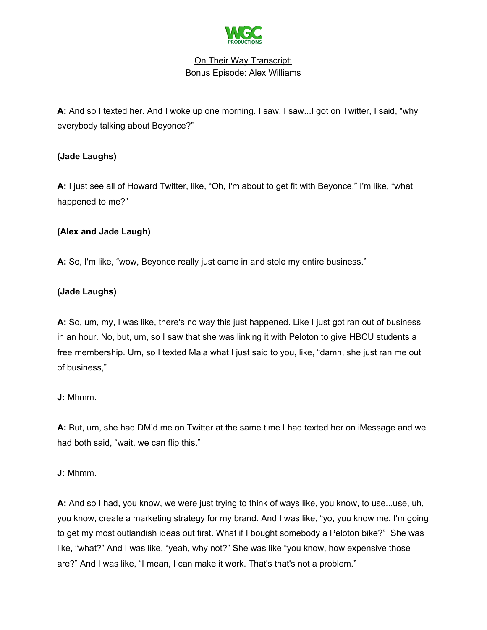

**A:** And so I texted her. And I woke up one morning. I saw, I saw...I got on Twitter, I said, "why everybody talking about Beyonce?"

# **(Jade Laughs)**

**A:** I just see all of Howard Twitter, like, "Oh, I'm about to get fit with Beyonce." I'm like, "what happened to me?"

# **(Alex and Jade Laugh)**

**A:** So, I'm like, "wow, Beyonce really just came in and stole my entire business."

# **(Jade Laughs)**

**A:** So, um, my, I was like, there's no way this just happened. Like I just got ran out of business in an hour. No, but, um, so I saw that she was linking it with Peloton to give HBCU students a free membership. Um, so I texted Maia what I just said to you, like, "damn, she just ran me out of business,"

# **J:** Mhmm.

**A:** But, um, she had DM'd me on Twitter at the same time I had texted her on iMessage and we had both said, "wait, we can flip this."

# **J:** Mhmm.

**A:** And so I had, you know, we were just trying to think of ways like, you know, to use...use, uh, you know, create a marketing strategy for my brand. And I was like, "yo, you know me, I'm going to get my most outlandish ideas out first. What if I bought somebody a Peloton bike?" She was like, "what?" And I was like, "yeah, why not?" She was like "you know, how expensive those are?" And I was like, "I mean, I can make it work. That's that's not a problem."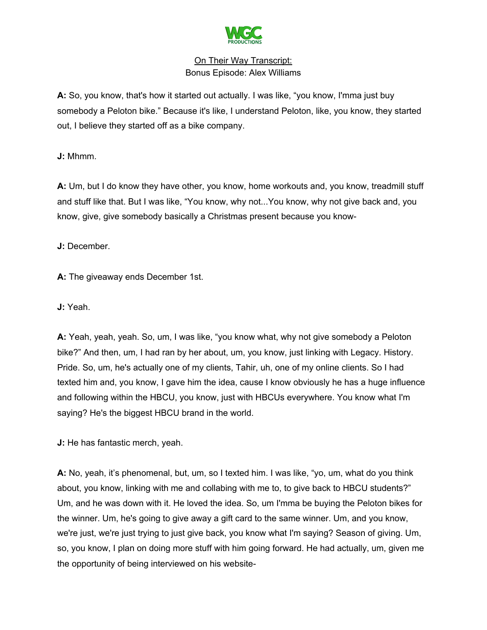

**A:** So, you know, that's how it started out actually. I was like, "you know, I'mma just buy somebody a Peloton bike." Because it's like, I understand Peloton, like, you know, they started out, I believe they started off as a bike company.

**J:** Mhmm.

**A:** Um, but I do know they have other, you know, home workouts and, you know, treadmill stuff and stuff like that. But I was like, "You know, why not...You know, why not give back and, you know, give, give somebody basically a Christmas present because you know-

**J:** December.

**A:** The giveaway ends December 1st.

**J:** Yeah.

**A:** Yeah, yeah, yeah. So, um, I was like, "you know what, why not give somebody a Peloton bike?" And then, um, I had ran by her about, um, you know, just linking with Legacy. History. Pride. So, um, he's actually one of my clients, Tahir, uh, one of my online clients. So I had texted him and, you know, I gave him the idea, cause I know obviously he has a huge influence and following within the HBCU, you know, just with HBCUs everywhere. You know what I'm saying? He's the biggest HBCU brand in the world.

**J:** He has fantastic merch, yeah.

**A:** No, yeah, it's phenomenal, but, um, so I texted him. I was like, "yo, um, what do you think about, you know, linking with me and collabing with me to, to give back to HBCU students?" Um, and he was down with it. He loved the idea. So, um I'mma be buying the Peloton bikes for the winner. Um, he's going to give away a gift card to the same winner. Um, and you know, we're just, we're just trying to just give back, you know what I'm saying? Season of giving. Um, so, you know, I plan on doing more stuff with him going forward. He had actually, um, given me the opportunity of being interviewed on his website-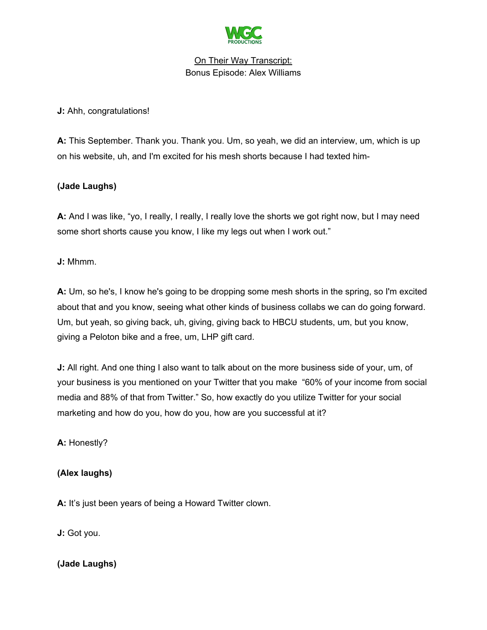

**J:** Ahh, congratulations!

**A:** This September. Thank you. Thank you. Um, so yeah, we did an interview, um, which is up on his website, uh, and I'm excited for his mesh shorts because I had texted him-

# **(Jade Laughs)**

**A:** And I was like, "yo, I really, I really, I really love the shorts we got right now, but I may need some short shorts cause you know, I like my legs out when I work out."

**J:** Mhmm.

**A:** Um, so he's, I know he's going to be dropping some mesh shorts in the spring, so I'm excited about that and you know, seeing what other kinds of business collabs we can do going forward. Um, but yeah, so giving back, uh, giving, giving back to HBCU students, um, but you know, giving a Peloton bike and a free, um, LHP gift card.

**J:** All right. And one thing I also want to talk about on the more business side of your, um, of your business is you mentioned on your Twitter that you make "60% of your income from social media and 88% of that from Twitter." So, how exactly do you utilize Twitter for your social marketing and how do you, how do you, how are you successful at it?

**A:** Honestly?

# **(Alex laughs)**

**A:** It's just been years of being a Howard Twitter clown.

**J:** Got you.

# **(Jade Laughs)**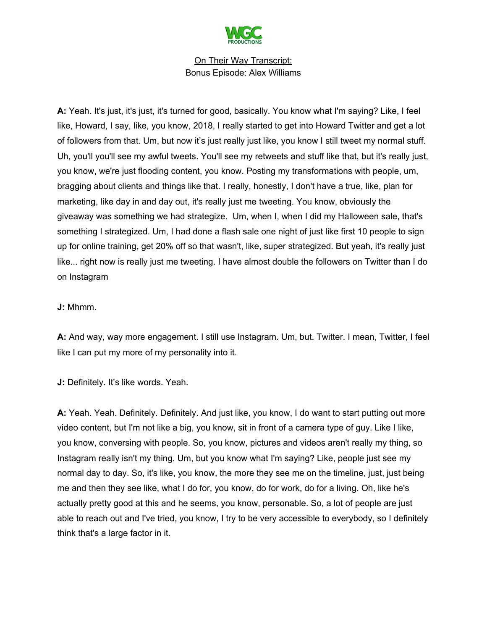

**A:** Yeah. It's just, it's just, it's turned for good, basically. You know what I'm saying? Like, I feel like, Howard, I say, like, you know, 2018, I really started to get into Howard Twitter and get a lot of followers from that. Um, but now it's just really just like, you know I still tweet my normal stuff. Uh, you'll you'll see my awful tweets. You'll see my retweets and stuff like that, but it's really just, you know, we're just flooding content, you know. Posting my transformations with people, um, bragging about clients and things like that. I really, honestly, I don't have a true, like, plan for marketing, like day in and day out, it's really just me tweeting. You know, obviously the giveaway was something we had strategize. Um, when I, when I did my Halloween sale, that's something I strategized. Um, I had done a flash sale one night of just like first 10 people to sign up for online training, get 20% off so that wasn't, like, super strategized. But yeah, it's really just like... right now is really just me tweeting. I have almost double the followers on Twitter than I do on Instagram

## **J:** Mhmm.

**A:** And way, way more engagement. I still use Instagram. Um, but. Twitter. I mean, Twitter, I feel like I can put my more of my personality into it.

**J:** Definitely. It's like words. Yeah.

**A:** Yeah. Yeah. Definitely. Definitely. And just like, you know, I do want to start putting out more video content, but I'm not like a big, you know, sit in front of a camera type of guy. Like I like, you know, conversing with people. So, you know, pictures and videos aren't really my thing, so Instagram really isn't my thing. Um, but you know what I'm saying? Like, people just see my normal day to day. So, it's like, you know, the more they see me on the timeline, just, just being me and then they see like, what I do for, you know, do for work, do for a living. Oh, like he's actually pretty good at this and he seems, you know, personable. So, a lot of people are just able to reach out and I've tried, you know, I try to be very accessible to everybody, so I definitely think that's a large factor in it.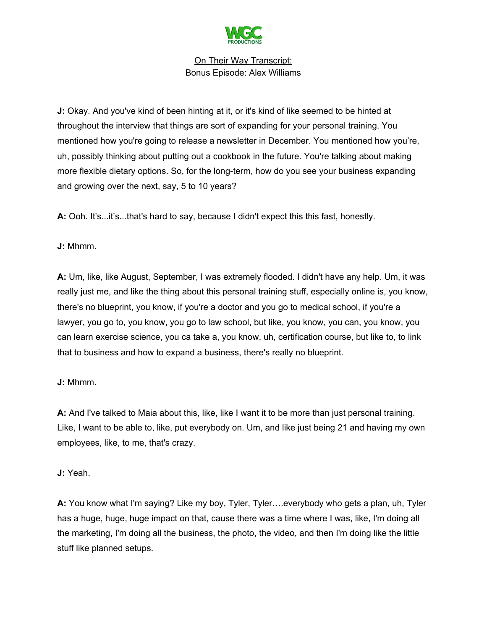

**J:** Okay. And you've kind of been hinting at it, or it's kind of like seemed to be hinted at throughout the interview that things are sort of expanding for your personal training. You mentioned how you're going to release a newsletter in December. You mentioned how you're, uh, possibly thinking about putting out a cookbook in the future. You're talking about making more flexible dietary options. So, for the long-term, how do you see your business expanding and growing over the next, say, 5 to 10 years?

**A:** Ooh. It's...it's...that's hard to say, because I didn't expect this this fast, honestly.

**J:** Mhmm.

**A:** Um, like, like August, September, I was extremely flooded. I didn't have any help. Um, it was really just me, and like the thing about this personal training stuff, especially online is, you know, there's no blueprint, you know, if you're a doctor and you go to medical school, if you're a lawyer, you go to, you know, you go to law school, but like, you know, you can, you know, you can learn exercise science, you ca take a, you know, uh, certification course, but like to, to link that to business and how to expand a business, there's really no blueprint.

**J:** Mhmm.

**A:** And I've talked to Maia about this, like, like I want it to be more than just personal training. Like, I want to be able to, like, put everybody on. Um, and like just being 21 and having my own employees, like, to me, that's crazy.

**J:** Yeah.

**A:** You know what I'm saying? Like my boy, Tyler, Tyler….everybody who gets a plan, uh, Tyler has a huge, huge, huge impact on that, cause there was a time where I was, like, I'm doing all the marketing, I'm doing all the business, the photo, the video, and then I'm doing like the little stuff like planned setups.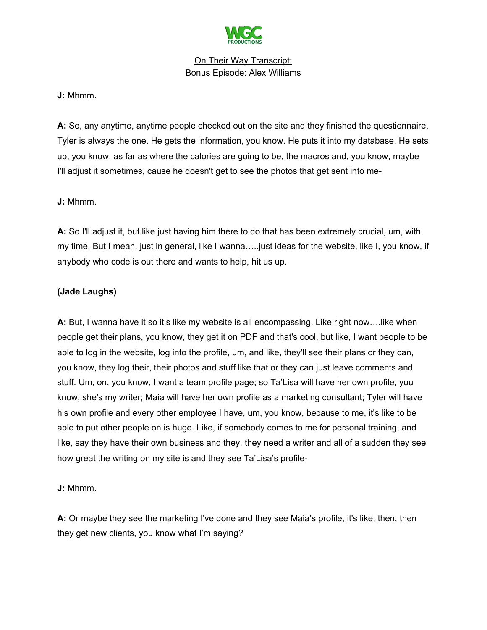

## **J:** Mhmm.

**A:** So, any anytime, anytime people checked out on the site and they finished the questionnaire, Tyler is always the one. He gets the information, you know. He puts it into my database. He sets up, you know, as far as where the calories are going to be, the macros and, you know, maybe I'll adjust it sometimes, cause he doesn't get to see the photos that get sent into me-

## **J:** Mhmm.

**A:** So I'll adjust it, but like just having him there to do that has been extremely crucial, um, with my time. But I mean, just in general, like I wanna…..just ideas for the website, like I, you know, if anybody who code is out there and wants to help, hit us up.

# **(Jade Laughs)**

**A:** But, I wanna have it so it's like my website is all encompassing. Like right now….like when people get their plans, you know, they get it on PDF and that's cool, but like, I want people to be able to log in the website, log into the profile, um, and like, they'll see their plans or they can, you know, they log their, their photos and stuff like that or they can just leave comments and stuff. Um, on, you know, I want a team profile page; so Ta'Lisa will have her own profile, you know, she's my writer; Maia will have her own profile as a marketing consultant; Tyler will have his own profile and every other employee I have, um, you know, because to me, it's like to be able to put other people on is huge. Like, if somebody comes to me for personal training, and like, say they have their own business and they, they need a writer and all of a sudden they see how great the writing on my site is and they see Ta'Lisa's profile-

# **J:** Mhmm.

**A:** Or maybe they see the marketing I've done and they see Maia's profile, it's like, then, then they get new clients, you know what I'm saying?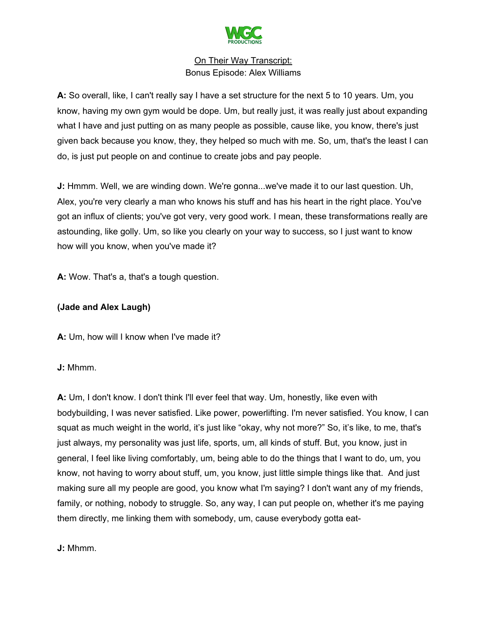

**A:** So overall, like, I can't really say I have a set structure for the next 5 to 10 years. Um, you know, having my own gym would be dope. Um, but really just, it was really just about expanding what I have and just putting on as many people as possible, cause like, you know, there's just given back because you know, they, they helped so much with me. So, um, that's the least I can do, is just put people on and continue to create jobs and pay people.

**J:** Hmmm. Well, we are winding down. We're gonna...we've made it to our last question. Uh, Alex, you're very clearly a man who knows his stuff and has his heart in the right place. You've got an influx of clients; you've got very, very good work. I mean, these transformations really are astounding, like golly. Um, so like you clearly on your way to success, so I just want to know how will you know, when you've made it?

**A:** Wow. That's a, that's a tough question.

#### **(Jade and Alex Laugh)**

**A:** Um, how will I know when I've made it?

**J:** Mhmm.

**A:** Um, I don't know. I don't think I'll ever feel that way. Um, honestly, like even with bodybuilding, I was never satisfied. Like power, powerlifting. I'm never satisfied. You know, I can squat as much weight in the world, it's just like "okay, why not more?" So, it's like, to me, that's just always, my personality was just life, sports, um, all kinds of stuff. But, you know, just in general, I feel like living comfortably, um, being able to do the things that I want to do, um, you know, not having to worry about stuff, um, you know, just little simple things like that. And just making sure all my people are good, you know what I'm saying? I don't want any of my friends, family, or nothing, nobody to struggle. So, any way, I can put people on, whether it's me paying them directly, me linking them with somebody, um, cause everybody gotta eat-

**J:** Mhmm.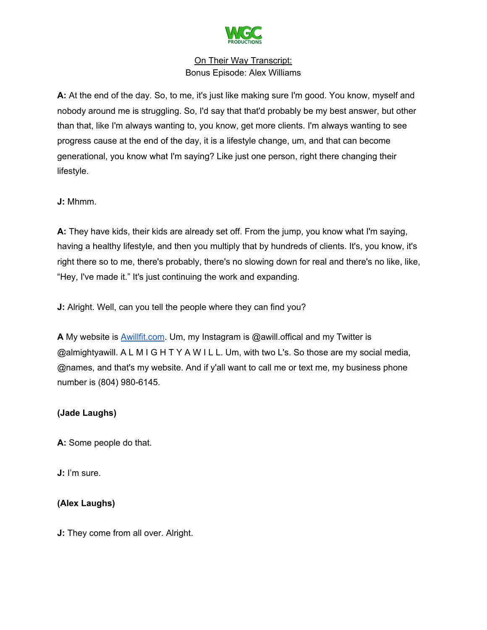

**A:** At the end of the day. So, to me, it's just like making sure I'm good. You know, myself and nobody around me is struggling. So, I'd say that that'd probably be my best answer, but other than that, like I'm always wanting to, you know, get more clients. I'm always wanting to see progress cause at the end of the day, it is a lifestyle change, um, and that can become generational, you know what I'm saying? Like just one person, right there changing their lifestyle.

**J:** Mhmm.

**A:** They have kids, their kids are already set off. From the jump, you know what I'm saying, having a healthy lifestyle, and then you multiply that by hundreds of clients. It's, you know, it's right there so to me, there's probably, there's no slowing down for real and there's no like, like, "Hey, I've made it." It's just continuing the work and expanding.

**J:** Alright. Well, can you tell the people where they can find you?

**A** My website is [Awillfit.com.](https://www.awillfit.com/) Um, my Instagram is @awill.offical and my Twitter is @almightyawill. A L M I G H T Y A W I L L. Um, with two L's. So those are my social media, @names, and that's my website. And if y'all want to call me or text me, my business phone number is (804) 980-6145.

# **(Jade Laughs)**

**A:** Some people do that.

**J:** I'm sure.

# **(Alex Laughs)**

**J:** They come from all over. Alright.